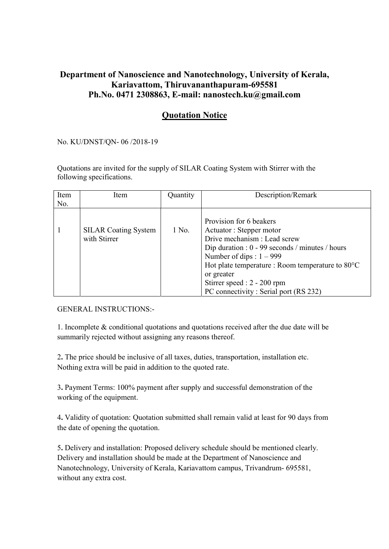## Department of Nanoscience and Nanotechnology, University of Kerala, Kariavattom, Thiruvananthapuram-695581 Ph.No. 0471 2308863, E-mail: nanostech.ku@gmail.com

## Quotation Notice

No. KU/DNST/QN- 06 /2018-19

Quotations are invited for the supply of SILAR Coating System with Stirrer with the following specifications.

| Item | Item                                        | Quantity | Description/Remark                                                                                                                                                                                                                                                                                              |
|------|---------------------------------------------|----------|-----------------------------------------------------------------------------------------------------------------------------------------------------------------------------------------------------------------------------------------------------------------------------------------------------------------|
| No.  |                                             |          |                                                                                                                                                                                                                                                                                                                 |
|      | <b>SILAR</b> Coating System<br>with Stirrer | 1 No.    | Provision for 6 beakers<br>Actuator: Stepper motor<br>Drive mechanism : Lead screw<br>Dip duration : $0 - 99$ seconds / minutes / hours<br>Number of dips : $1 - 999$<br>Hot plate temperature : Room temperature to 80°C<br>or greater<br>Stirrer speed : 2 - 200 rpm<br>PC connectivity: Serial port (RS 232) |

GENERAL INSTRUCTIONS:-

1. Incomplete & conditional quotations and quotations received after the due date will be summarily rejected without assigning any reasons thereof.

2. The price should be inclusive of all taxes, duties, transportation, installation etc. Nothing extra will be paid in addition to the quoted rate.

3. Payment Terms: 100% payment after supply and successful demonstration of the working of the equipment.

4. Validity of quotation: Quotation submitted shall remain valid at least for 90 days from the date of opening the quotation.

5. Delivery and installation: Proposed delivery schedule should be mentioned clearly. Delivery and installation should be made at the Department of Nanoscience and Nanotechnology, University of Kerala, Kariavattom campus, Trivandrum- 695581, without any extra cost.